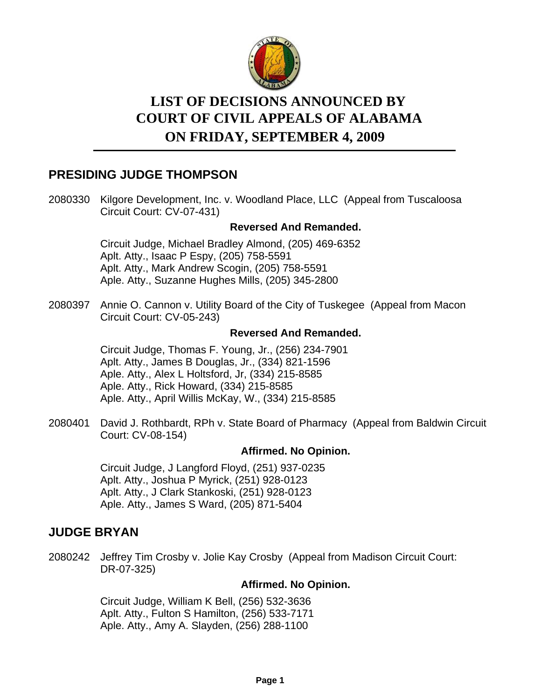

# **LIST OF DECISIONS ANNOUNCED BY ON FRIDAY, SEPTEMBER 4, 2009 COURT OF CIVIL APPEALS OF ALABAMA**

# **PRESIDING JUDGE THOMPSON**

2080330 Kilgore Development, Inc. v. Woodland Place, LLC (Appeal from Tuscaloosa Circuit Court: CV-07-431)

### **Reversed And Remanded.**

Circuit Judge, Michael Bradley Almond, (205) 469-6352 Aplt. Atty., Isaac P Espy, (205) 758-5591 Aplt. Atty., Mark Andrew Scogin, (205) 758-5591 Aple. Atty., Suzanne Hughes Mills, (205) 345-2800

2080397 Annie O. Cannon v. Utility Board of the City of Tuskegee (Appeal from Macon Circuit Court: CV-05-243)

#### **Reversed And Remanded.**

Circuit Judge, Thomas F. Young, Jr., (256) 234-7901 Aplt. Atty., James B Douglas, Jr., (334) 821-1596 Aple. Atty., Alex L Holtsford, Jr, (334) 215-8585 Aple. Atty., Rick Howard, (334) 215-8585 Aple. Atty., April Willis McKay, W., (334) 215-8585

2080401 David J. Rothbardt, RPh v. State Board of Pharmacy (Appeal from Baldwin Circuit Court: CV-08-154)

### **Affirmed. No Opinion.**

Circuit Judge, J Langford Floyd, (251) 937-0235 Aplt. Atty., Joshua P Myrick, (251) 928-0123 Aplt. Atty., J Clark Stankoski, (251) 928-0123 Aple. Atty., James S Ward, (205) 871-5404

# **JUDGE BRYAN**

2080242 Jeffrey Tim Crosby v. Jolie Kay Crosby (Appeal from Madison Circuit Court: DR-07-325)

### **Affirmed. No Opinion.**

Circuit Judge, William K Bell, (256) 532-3636 Aplt. Atty., Fulton S Hamilton, (256) 533-7171 Aple. Atty., Amy A. Slayden, (256) 288-1100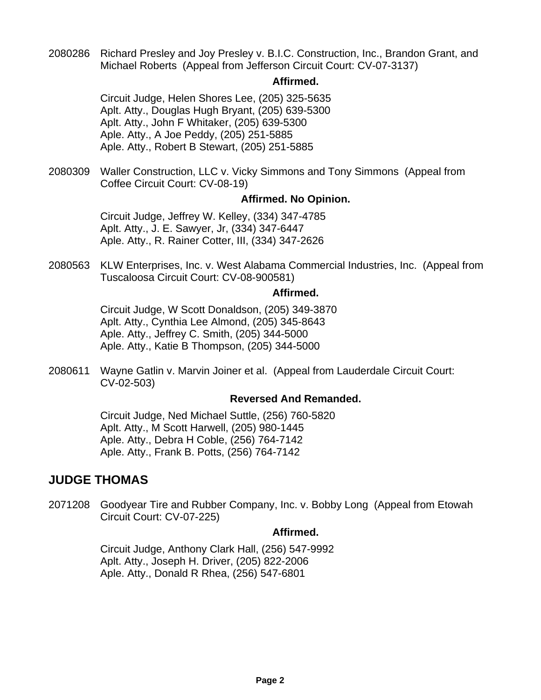2080286 Richard Presley and Joy Presley v. B.I.C. Construction, Inc., Brandon Grant, and Michael Roberts (Appeal from Jefferson Circuit Court: CV-07-3137)

#### **Affirmed.**

Circuit Judge, Helen Shores Lee, (205) 325-5635 Aplt. Atty., Douglas Hugh Bryant, (205) 639-5300 Aplt. Atty., John F Whitaker, (205) 639-5300 Aple. Atty., A Joe Peddy, (205) 251-5885 Aple. Atty., Robert B Stewart, (205) 251-5885

2080309 Waller Construction, LLC v. Vicky Simmons and Tony Simmons (Appeal from Coffee Circuit Court: CV-08-19)

#### **Affirmed. No Opinion.**

Circuit Judge, Jeffrey W. Kelley, (334) 347-4785 Aplt. Atty., J. E. Sawyer, Jr, (334) 347-6447 Aple. Atty., R. Rainer Cotter, III, (334) 347-2626

2080563 KLW Enterprises, Inc. v. West Alabama Commercial Industries, Inc. (Appeal from Tuscaloosa Circuit Court: CV-08-900581)

#### **Affirmed.**

Circuit Judge, W Scott Donaldson, (205) 349-3870 Aplt. Atty., Cynthia Lee Almond, (205) 345-8643 Aple. Atty., Jeffrey C. Smith, (205) 344-5000 Aple. Atty., Katie B Thompson, (205) 344-5000

2080611 Wayne Gatlin v. Marvin Joiner et al. (Appeal from Lauderdale Circuit Court: CV-02-503)

#### **Reversed And Remanded.**

Circuit Judge, Ned Michael Suttle, (256) 760-5820 Aplt. Atty., M Scott Harwell, (205) 980-1445 Aple. Atty., Debra H Coble, (256) 764-7142 Aple. Atty., Frank B. Potts, (256) 764-7142

# **JUDGE THOMAS**

2071208 Goodyear Tire and Rubber Company, Inc. v. Bobby Long (Appeal from Etowah Circuit Court: CV-07-225)

#### **Affirmed.**

Circuit Judge, Anthony Clark Hall, (256) 547-9992 Aplt. Atty., Joseph H. Driver, (205) 822-2006 Aple. Atty., Donald R Rhea, (256) 547-6801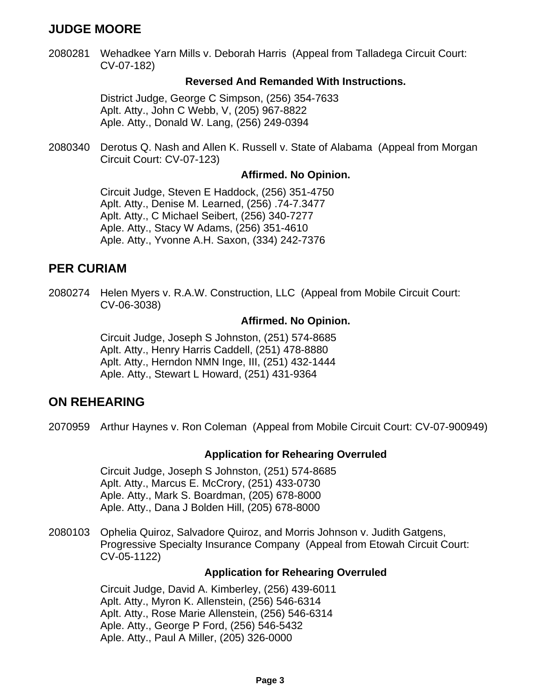# **JUDGE MOORE**

2080281 Wehadkee Yarn Mills v. Deborah Harris (Appeal from Talladega Circuit Court: CV-07-182)

#### **Reversed And Remanded With Instructions.**

District Judge, George C Simpson, (256) 354-7633 Aplt. Atty., John C Webb, V, (205) 967-8822 Aple. Atty., Donald W. Lang, (256) 249-0394

2080340 Derotus Q. Nash and Allen K. Russell v. State of Alabama (Appeal from Morgan Circuit Court: CV-07-123)

#### **Affirmed. No Opinion.**

Circuit Judge, Steven E Haddock, (256) 351-4750 Aplt. Atty., Denise M. Learned, (256) .74-7.3477 Aplt. Atty., C Michael Seibert, (256) 340-7277 Aple. Atty., Stacy W Adams, (256) 351-4610 Aple. Atty., Yvonne A.H. Saxon, (334) 242-7376

# **PER CURIAM**

2080274 Helen Myers v. R.A.W. Construction, LLC (Appeal from Mobile Circuit Court: CV-06-3038)

#### **Affirmed. No Opinion.**

Circuit Judge, Joseph S Johnston, (251) 574-8685 Aplt. Atty., Henry Harris Caddell, (251) 478-8880 Aplt. Atty., Herndon NMN Inge, III, (251) 432-1444 Aple. Atty., Stewart L Howard, (251) 431-9364

### **ON REHEARING**

2070959 Arthur Haynes v. Ron Coleman (Appeal from Mobile Circuit Court: CV-07-900949)

#### **Application for Rehearing Overruled**

Circuit Judge, Joseph S Johnston, (251) 574-8685 Aplt. Atty., Marcus E. McCrory, (251) 433-0730 Aple. Atty., Mark S. Boardman, (205) 678-8000 Aple. Atty., Dana J Bolden Hill, (205) 678-8000

2080103 Ophelia Quiroz, Salvadore Quiroz, and Morris Johnson v. Judith Gatgens, Progressive Specialty Insurance Company (Appeal from Etowah Circuit Court: CV-05-1122)

#### **Application for Rehearing Overruled**

Circuit Judge, David A. Kimberley, (256) 439-6011 Aplt. Atty., Myron K. Allenstein, (256) 546-6314 Aplt. Atty., Rose Marie Allenstein, (256) 546-6314 Aple. Atty., George P Ford, (256) 546-5432 Aple. Atty., Paul A Miller, (205) 326-0000